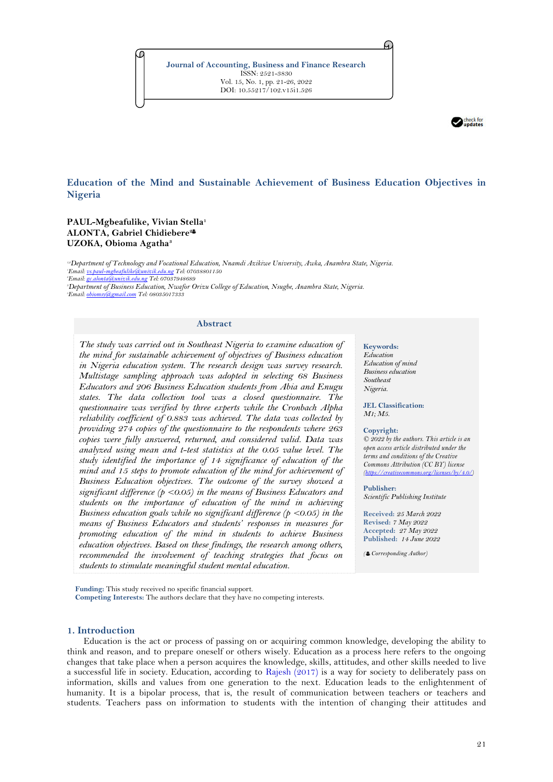

# **Education of the Mind and Sustainable Achievement of Business Education Objectives in Nigeria**

## **PAUL-Mgbeafulike, Vivian Stella<sup>1</sup> ALONTA, Gabriel Chidiebere<sup>2</sup> UZOKA, Obioma Agatha<sup>3</sup>**

*1,2Department of Technology and Vocational Education, Nnamdi Azikiwe University, Awka, Anambra State, Nigeria. Email[: vs.paul-mgbeafulike@unizik.edu.ng](mailto:vs.paul-mgbeafulike@unizik.edu.ng) Tel: 07038801150 <sup>2</sup>Email[: gc.alonta@unizik.edu.ng](mailto:gc.alonta@unizik.edu.ng) Tel: 07037948689 Department of Business Education, Nwafor Orizu College of Education, Nsugbe, Anambra State, Nigeria. Email[: obiomsy@gmail.com](mailto:obiomsy@gmail.com) Tel: 08035017333*

**Abstract**

*The study was carried out in Southeast Nigeria to examine education of the mind for sustainable achievement of objectives of Business education in Nigeria education system. The research design was survey research. Multistage sampling approach was adopted in selecting 68 Business Educators and 206 Business Education students from Abia and Enugu states. The data collection tool was a closed questionnaire. The questionnaire was verified by three experts while the Cronbach Alpha reliability coefficient of 0.883 was achieved. The data was collected by providing 274 copies of the questionnaire to the respondents where 263 copies were fully answered, returned, and considered valid. Data was analyzed using mean and t-test statistics at the 0.05 value level. The study identified the importance of 14 significance of education of the mind and 15 steps to promote education of the mind for achievement of Business Education objectives. The outcome of the survey showed a significant difference (p <0.05) in the means of Business Educators and students on the importance of education of the mind in achieving Business education goals while no significant difference (p <0.05) in the means of Business Educators and students' responses in measures for promoting education of the mind in students to achieve Business education objectives. Based on these findings, the research among others, recommended the involvement of teaching strategies that focus on students to stimulate meaningful student mental education.*

**Keywords:**

G

*Education Education of mind Business education Southeast Nigeria.*

**JEL Classification:** *M1; M5.*

### **Copyright:**

*© 2022 by the authors. This article is an open access article distributed under the terms and conditions of the Creative Commons Attribution (CC BY) license [\(https://creativecommons.org/licenses/by/4.0/\)](https://creativecommons.org/licenses/by/4.0/)*

**Publisher:** 

*Scientific Publishing Institute*

**Received:** *25 March 2022* **Revised:** *7 May 2022* **Accepted:** *27 May 2022* **Published:** *14 June 2022*

*( Corresponding Author)*

**Funding:** This study received no specific financial support. **Competing Interests:** The authors declare that they have no competing interests.

## **1. Introduction**

Education is the act or process of passing on or acquiring common knowledge, developing the ability to think and reason, and to prepare oneself or others wisely. Education as a process here refers to the ongoing changes that take place when a person acquires the knowledge, skills, attitudes, and other skills needed to live a successful life in society. Education, according to [Rajesh \(2017\)](#page-5-0) is a way for society to deliberately pass on information, skills and values from one generation to the next. Education leads to the enlightenment of humanity. It is a bipolar process, that is, the result of communication between teachers or teachers and students. Teachers pass on information to students with the intention of changing their attitudes and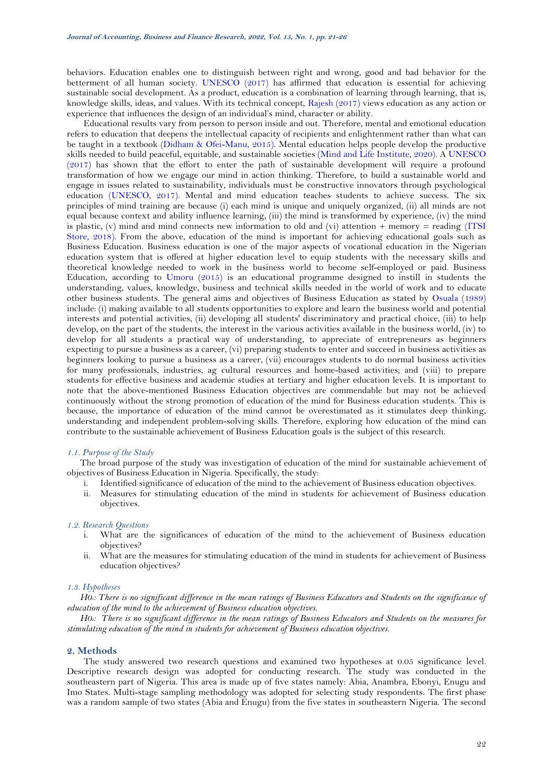behaviors. Education enables one to distinguish between right and wrong, good and bad behavior for the betterment of all human society. [UNESCO \(2017\)](#page-5-1) has affirmed that education is essential for achieving sustainable social development. As a product, education is a combination of learning through learning, that is, knowledge skills, ideas, and values. With its technical concept, [Rajesh \(2017\)](#page-5-0) views education as any action or experience that influences the design of an individual's mind, character or ability.

Educational results vary from person to person inside and out. Therefore, mental and emotional education refers to education that deepens the intellectual capacity of recipients and enlightenment rather than what can be taught in a textbook [\(Didham & Ofei-Manu, 2015\)](#page-5-2). Mental education helps people develop the productive skills needed to build peaceful, equitable, and sustainable societies (Mind [and Life Institute, 2020\)](#page-5-3). [A UNESCO](#page-5-1)  [\(2017\)](#page-5-1) has shown that the effort to enter the path of sustainable development will require a profound transformation of how we engage our mind in action thinking. Therefore, to build a sustainable world and engage in issues related to sustainability, individuals must be constructive innovators through psychological education [\(UNESCO, 2017\)](#page-5-1). Mental and mind education teaches students to achieve success. The six principles of mind training are because (i) each mind is unique and uniquely organized, (ii) all minds are not equal because context and ability influence learning, (iii) the mind is transformed by experience, (iv) the mind is plastic,  $(v)$  mind and mind connects new information to old and  $(vi)$  attention + memory = reading (ITSI [Store, 2018\)](#page-5-4). From the above, education of the mind is important for achieving educational goals such as Business Education. Business education is one of the major aspects of vocational education in the Nigerian education system that is offered at higher education level to equip students with the necessary skills and theoretical knowledge needed to work in the business world to become self-employed or paid. Business Education, according to [Umoru \(2015\)](#page-5-5) is an educational programme designed to instill in students the understanding, values, knowledge, business and technical skills needed in the world of work and to educate other business students. The general aims and objectives of Business Education as stated by [Osuala](#page-5-6) (1989) include: (i) making available to all students opportunities to explore and learn the business world and potential interests and potential activities, (ii) developing all students' discriminatory and practical choice, (iii) to help develop, on the part of the students, the interest in the various activities available in the business world, (iv) to develop for all students a practical way of understanding, to appreciate of entrepreneurs as beginners expecting to pursue a business as a career, (vi) preparing students to enter and succeed in business activities as beginners looking to pursue a business as a career, (vii) encourages students to do normal business activities for many professionals, industries, ag cultural resources and home-based activities; and (viii) to prepare students for effective business and academic studies at tertiary and higher education levels. It is important to note that the above-mentioned Business Education objectives are commendable but may not be achieved continuously without the strong promotion of education of the mind for Business education students. This is because, the importance of education of the mind cannot be overestimated as it stimulates deep thinking, understanding and independent problem-solving skills. Therefore, exploring how education of the mind can contribute to the sustainable achievement of Business Education goals is the subject of this research.

## *1.1. Purpose of the Study*

The broad purpose of the study was investigation of education of the mind for sustainable achievement of objectives of Business Education in Nigeria. Specifically, the study:

- i. Identified significance of education of the mind to the achievement of Business education objectives.
- ii. Measures for stimulating education of the mind in students for achievement of Business education objectives.

### *1.2. Research Questions*

- i. What are the significances of education of the mind to the achievement of Business education objectives?
- ii. What are the measures for stimulating education of the mind in students for achievement of Business education objectives?

## *1.3. Hypotheses*

*H01: There is no significant difference in the mean ratings of Business Educators and Students on the significance of education of the mind to the achievement of Business education objectives.*

*H02: There is no significant difference in the mean ratings of Business Educators and Students on the measures for stimulating education of the mind in students for achievement of Business education objectives.* 

### **2. Methods**

The study answered two research questions and examined two hypotheses at 0.05 significance level. Descriptive research design was adopted for conducting research. The study was conducted in the southeastern part of Nigeria. This area is made up of five states namely: Abia, Anambra, Ebonyi, Enugu and Imo States. Multi-stage sampling methodology was adopted for selecting study respondents. The first phase was a random sample of two states (Abia and Enugu) from the five states in southeastern Nigeria. The second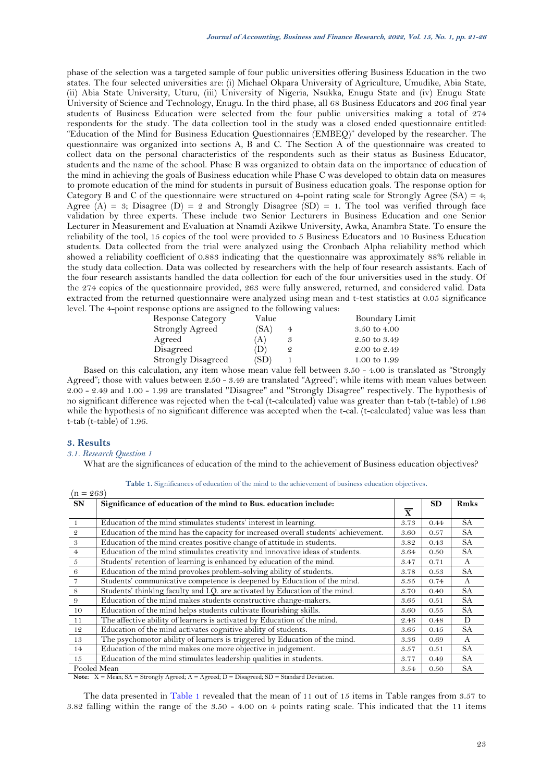phase of the selection was a targeted sample of four public universities offering Business Education in the two states. The four selected universities are: (i) Michael Okpara University of Agriculture, Umudike, Abia State, (ii) Abia State University, Uturu, (iii) University of Nigeria, Nsukka, Enugu State and (iv) Enugu State University of Science and Technology, Enugu. In the third phase, all 68 Business Educators and 206 final year students of Business Education were selected from the four public universities making a total of 274 respondents for the study. The data collection tool in the study was a closed ended questionnaire entitled: "Education of the Mind for Business Education Questionnaires (EMBEQ)" developed by the researcher. The questionnaire was organized into sections A, B and C. The Section A of the questionnaire was created to collect data on the personal characteristics of the respondents such as their status as Business Educator, students and the name of the school. Phase B was organized to obtain data on the importance of education of the mind in achieving the goals of Business education while Phase C was developed to obtain data on measures to promote education of the mind for students in pursuit of Business education goals. The response option for Category B and C of the questionnaire were structured on 4-point rating scale for Strongly Agree (SA) = 4; Agree (A) = 3; Disagree (D) = 2 and Strongly Disagree (SD) = 1. The tool was verified through face validation by three experts. These include two Senior Lecturers in Business Education and one Senior Lecturer in Measurement and Evaluation at Nnamdi Azikwe University, Awka, Anambra State. To ensure the reliability of the tool, 15 copies of the tool were provided to 5 Business Educators and 10 Business Education students. Data collected from the trial were analyzed using the Cronbach Alpha reliability method which showed a reliability coefficient of 0.883 indicating that the questionnaire was approximately 88% reliable in the study data collection. Data was collected by researchers with the help of four research assistants. Each of the four research assistants handled the data collection for each of the four universities used in the study. Of the 274 copies of the questionnaire provided, 263 were fully answered, returned, and considered valid. Data extracted from the returned questionnaire were analyzed using mean and t-test statistics at 0.05 significance level. The 4-point response options are assigned to the following values:

| Response Category         | Value |   | Boundary Limit          |
|---------------------------|-------|---|-------------------------|
| Strongly Agreed           | (SA)  |   | 3.50 to 4.00            |
| Agreed                    | 'A`   |   | 2.50 to 3.49            |
| Disagreed                 |       | 2 | 2.00 to 2.49            |
| <b>Strongly Disagreed</b> | 'SD)  |   | $1.00 \text{ to } 1.99$ |

Based on this calculation, any item whose mean value fell between 3.50 - 4.00 is translated as "Strongly Agreed"; those with values between 2.50 - 3.49 are translated "Agreed"; while items with mean values between 2.00 - 2.49 and 1.00 - 1.99 are translated "Disagree" and "Strongly Disagree" respectively. The hypothesis of no significant difference was rejected when the t-cal (t-calculated) value was greater than t-tab (t-table) of 1.96 while the hypothesis of no significant difference was accepted when the t-cal. (t-calculated) value was less than t-tab (t-table) of 1.96.

## **3. Results**

## *3.1. Research Question 1*

What are the significances of education of the mind to the achievement of Business education objectives?

| Table 1. Significances of education of the mind to the achievement of business education objectives. |  |  |  |  |  |
|------------------------------------------------------------------------------------------------------|--|--|--|--|--|
|------------------------------------------------------------------------------------------------------|--|--|--|--|--|

<span id="page-2-0"></span>

| $(n = 263)$    |                                                                                     |                         |           |              |
|----------------|-------------------------------------------------------------------------------------|-------------------------|-----------|--------------|
| <b>SN</b>      | Significance of education of the mind to Bus. education include:                    |                         | <b>SD</b> | Rmks         |
|                |                                                                                     | $\overline{\mathbf{X}}$ |           |              |
| $\overline{1}$ | Education of the mind stimulates students' interest in learning.                    | 3.73                    | 0.44      | <b>SA</b>    |
| $\mathfrak{D}$ | Education of the mind has the capacity for increased overall students' achievement. | 3.60                    | 0.57      | <b>SA</b>    |
| 3              | Education of the mind creates positive change of attitude in students.              | 3.82                    | 0.43      | <b>SA</b>    |
| $\overline{4}$ | Education of the mind stimulates creativity and innovative ideas of students.       | 3.64                    | 0.50      | <b>SA</b>    |
| $\overline{5}$ | Students' retention of learning is enhanced by education of the mind.               | 3.47                    | 0.71      | $\mathbf{A}$ |
| 6              | Education of the mind provokes problem-solving ability of students.                 | 3.78                    | 0.53      | <b>SA</b>    |
| $\overline{7}$ | Students' communicative competence is deepened by Education of the mind.            | 3.35                    | 0.74      | $\mathbf{A}$ |
| 8              | Students' thinking faculty and I.Q. are activated by Education of the mind.         | 3.70                    | 0.40      | <b>SA</b>    |
| 9              | Education of the mind makes students constructive change-makers.                    | 3.65                    | 0.51      | <b>SA</b>    |
| -10            | Education of the mind helps students cultivate flourishing skills.                  | 3.60                    | 0.55      | <b>SA</b>    |
| 11             | The affective ability of learners is activated by Education of the mind.            | 2.46                    | 0.48      | D            |
| 12             | Education of the mind activates cognitive ability of students.                      | 3.65                    | 0.45      | <b>SA</b>    |
| 13             | The psychomotor ability of learners is triggered by Education of the mind.          | 3.36                    | 0.69      | $\mathbf{A}$ |
| 14             | Education of the mind makes one more objective in judgement.                        | 3.57                    | 0.51      | <b>SA</b>    |
| 15             | Education of the mind stimulates leadership qualities in students.                  | 3.77                    | 0.49      | <b>SA</b>    |
|                | Pooled Mean                                                                         | 3.54                    | 0.50      | <b>SA</b>    |

**Note:**  $X = \overline{Mean}$ ;  $SA =$  Strongly Agreed;  $A =$  Agreed;  $D =$  Disagreed;  $SD =$  Standard Deviation.

The data presented in [Table 1](#page-2-0) revealed that the mean of 11 out of 15 items in Table ranges from 3.57 to 3.82 falling within the range of the 3.50 - 4.00 on 4 points rating scale. This indicated that the 11 items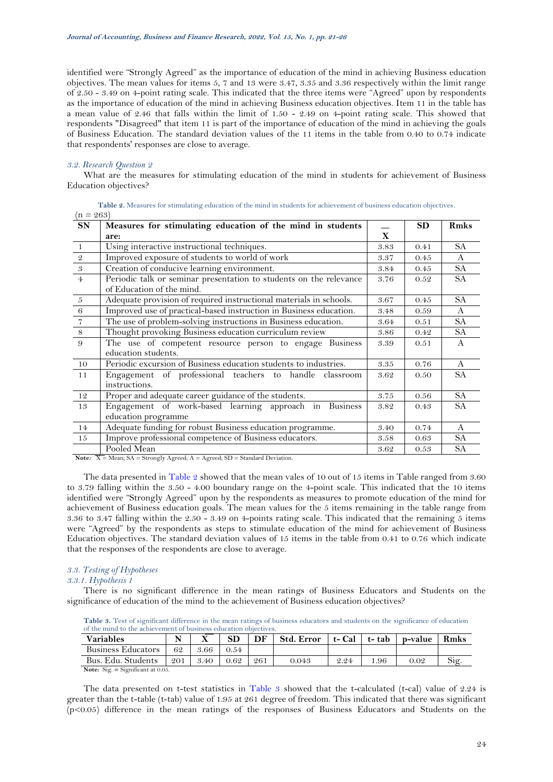identified were "Strongly Agreed" as the importance of education of the mind in achieving Business education objectives. The mean values for items 5, 7 and 13 were 3.47, 3.35 and 3.36 respectively within the limit range of 2.50 - 3.49 on 4-point rating scale. This indicated that the three items were "Agreed" upon by respondents as the importance of education of the mind in achieving Business education objectives. Item 11 in the table has a mean value of 2.46 that falls within the limit of 1.50 - 2.49 on 4-point rating scale. This showed that respondents "Disagreed" that item 11 is part of the importance of education of the mind in achieving the goals of Business Education. The standard deviation values of the 11 items in the table from 0.40 to 0.74 indicate that respondents' responses are close to average.

### *3.2. Research Question 2*

What are the measures for stimulating education of the mind in students for achievement of Business Education objectives?

<span id="page-3-0"></span>

| $(n = 263)$    |                                                                    |              |           |              |
|----------------|--------------------------------------------------------------------|--------------|-----------|--------------|
| <b>SN</b>      | Measures for stimulating education of the mind in students         |              | <b>SD</b> | Rmks         |
|                | are:                                                               | $\mathbf{X}$ |           |              |
| $\overline{1}$ | Using interactive instructional techniques.                        | 3.83         | 0.41      | SA.          |
| $\mathfrak{D}$ | Improved exposure of students to world of work                     | 3.37         | 0.45      | $\mathsf{A}$ |
| $\sqrt{3}$     | Creation of conducive learning environment.                        | 3.84         | 0.45      | SA.          |
| $\overline{4}$ | Periodic talk or seminar presentation to students on the relevance | 3.76         | 0.52      | SA.          |
|                | of Education of the mind.                                          |              |           |              |
| $\sqrt{5}$     | Adequate provision of required instructional materials in schools. | 3.67         | 0.45      | <b>SA</b>    |
| 6              | Improved use of practical-based instruction in Business education. | 3.48         | 0.59      | $\mathsf{A}$ |
| $\overline{7}$ | The use of problem-solving instructions in Business education.     | 3.64         | 0.51      | SA.          |
| 8              | Thought provoking Business education curriculum review             | 3.86         | 0.42      | SA.          |
| 9              | The use of competent resource person to engage Business            | 3.39         | 0.51      | A            |
|                | education students.                                                |              |           |              |
| 10             | Periodic excursion of Business education students to industries.   | 3.35         | 0.76      | $\mathsf{A}$ |
| 11             | Engagement of professional teachers to handle classroom            | 3.62         | 0.50      | <b>SA</b>    |
|                | instructions.                                                      |              |           |              |
| 12             | Proper and adequate career guidance of the students.               | 3.75         | 0.56      | <b>SA</b>    |
| 13             | Engagement of work-based learning approach in<br><b>Business</b>   | 3.82         | 0.43      | <b>SA</b>    |
|                | education programme                                                |              |           |              |
| 14             | Adequate funding for robust Business education programme.          | 3.40         | 0.74      | $\mathsf{A}$ |
| 15             | Improve professional competence of Business educators.             | 3.58         | 0.63      | SA.          |
|                | Pooled Mean                                                        | 3.62         | 0.53      | SA           |

| Table 2. Measures for stimulating education of the mind in students for achievement of business education objectives. |  |  |  |
|-----------------------------------------------------------------------------------------------------------------------|--|--|--|
| 963                                                                                                                   |  |  |  |

**Note:**  $\overline{X}$  = Mean; SA = Strongly Agreed; A = Agreed; SD = Standard Deviation.

The data presented in [Table 2](#page-3-0) showed that the mean vales of 10 out of 15 items in Table ranged from 3.60 to 3.79 falling within the 3.50 - 4.00 boundary range on the 4-point scale. This indicated that the 10 items identified were "Strongly Agreed" upon by the respondents as measures to promote education of the mind for achievement of Business education goals. The mean values for the 5 items remaining in the table range from 3.36 to 3.47 falling within the 2.50 - 3.49 on 4-points rating scale. This indicated that the remaining 5 items were "Agreed" by the respondents as steps to stimulate education of the mind for achievement of Business Education objectives. The standard deviation values of 15 items in the table from 0.41 to 0.76 which indicate that the responses of the respondents are close to average.

#### *3.3. Testing of Hypotheses*

### *3.3.1. Hypothesis 1*

There is no significant difference in the mean ratings of Business Educators and Students on the significance of education of the mind to the achievement of Business education objectives?

<span id="page-3-1"></span>**Table 3.** Test of significant difference in the mean ratings of business educators and students on the significance of education of the mind to the achievement of business education objectives.

| <b>Variables</b>                                       | N   |      | SD   | DF  | <b>Std. Error</b> | $\vert$ t- Cal $\vert$ t- tab |    | p-value | Rmks |
|--------------------------------------------------------|-----|------|------|-----|-------------------|-------------------------------|----|---------|------|
| <b>Business Educators</b>                              | 62  | 3.66 | 0.54 |     |                   |                               |    |         |      |
| Bus. Edu. Students                                     | 201 | 3.40 | 0.62 | 261 | 0.043             | 2.24                          | 96 | 0.02    | 519  |
| $\sim$ $\sim$ $\sim$<br>$\mathbf{r}$ $\mathbf{r}$<br>. |     |      |      |     |                   |                               |    |         |      |

**Note:** Sig. **=** Significant at 0.05.

The data presented on t-test statistics in [Table 3](#page-3-1) showed that the t-calculated (t-cal) value of 2.24 is greater than the t-table (t-tab) value of 1.95 at 261 degree of freedom. This indicated that there was significant  $(p<0.05)$  difference in the mean ratings of the responses of Business Educators and Students on the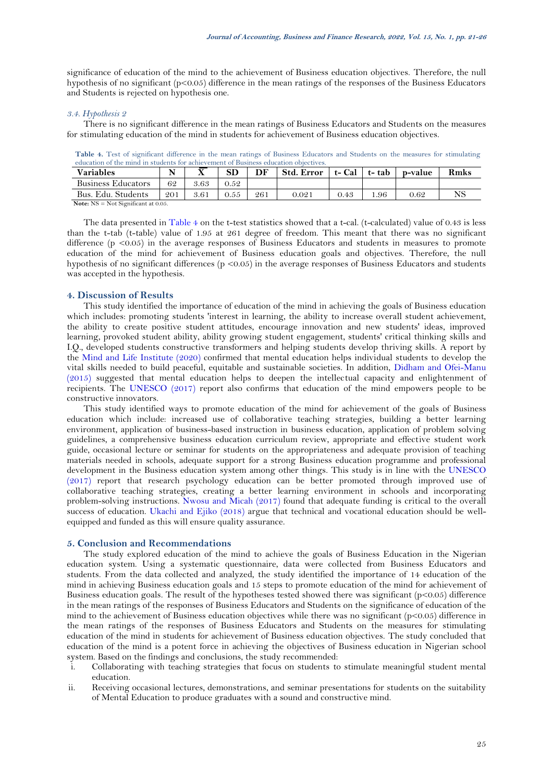significance of education of the mind to the achievement of Business education objectives. Therefore, the null hypothesis of no significant (p<0.05) difference in the mean ratings of the responses of the Business Educators and Students is rejected on hypothesis one.

### *3.4. Hypothesis 2*

There is no significant difference in the mean ratings of Business Educators and Students on the measures for stimulating education of the mind in students for achievement of Business education objectives.

| education of the mind in students for achievement of Business education objectives. |     |      |      |     |                   |      |                 |         |             |
|-------------------------------------------------------------------------------------|-----|------|------|-----|-------------------|------|-----------------|---------|-------------|
| <b>Variables</b>                                                                    | N   |      | SD   | DF  | <b>Std. Error</b> |      | t- Cal   t- tab | n-value | <b>Rmks</b> |
| <b>Business Educators</b>                                                           | 62  | 3.63 | 0.52 |     |                   |      |                 |         |             |
| Bus. Edu. Students                                                                  | 201 | 3.61 | 0.55 | 261 | 0.021             | 0.43 | 96              | 0.62    |             |
| <b>Note:</b> $NS = Not Significant at 0.05$ .                                       |     |      |      |     |                   |      |                 |         |             |

<span id="page-4-0"></span>**Table 4.** Test of significant difference in the mean ratings of Business Educators and Students on the measures for stimulating

The data presented i[n Table 4](#page-4-0) on the t-test statistics showed that a t-cal. (t-calculated) value of 0.43 is less than the t-tab (t-table) value of 1.95 at 261 degree of freedom. This meant that there was no significant difference (p <0.05) in the average responses of Business Educators and students in measures to promote education of the mind for achievement of Business education goals and objectives. Therefore, the null hypothesis of no significant differences (p <0.05) in the average responses of Business Educators and students was accepted in the hypothesis.

## **4. Discussion of Results**

This study identified the importance of education of the mind in achieving the goals of Business education which includes: promoting students 'interest in learning, the ability to increase overall student achievement, the ability to create positive student attitudes, encourage innovation and new students' ideas, improved learning, provoked student ability, ability growing student engagement, students' critical thinking skills and I.Q., developed students constructive transformers and helping students develop thriving skills. A report by the [Mind and Life Institute \(2020\)](#page-5-3) confirmed that mental education helps individual students to develop the vital skills needed to build peaceful, equitable and sustainable societies. In addition, [Didham and Ofei-Manu](#page-5-2)  [\(2015\)](#page-5-2) suggested that mental education helps to deepen the intellectual capacity and enlightenment of recipients. The [UNESCO \(2017\)](#page-5-1) report also confirms that education of the mind empowers people to be constructive innovators.

This study identified ways to promote education of the mind for achievement of the goals of Business education which include: increased use of collaborative teaching strategies, building a better learning environment, application of business-based instruction in business education, application of problem solving guidelines, a comprehensive business education curriculum review, appropriate and effective student work guide, occasional lecture or seminar for students on the appropriateness and adequate provision of teaching materials needed in schools, adequate support for a strong Business education programme and professional development in the Business education system among other things. This study is in line with the [UNESCO](#page-5-1)  [\(2017\)](#page-5-1) report that research psychology education can be better promoted through improved use of collaborative teaching strategies, creating a better learning environment in schools and incorporating problem-solving instructions. [Nwosu and Micah \(2017\)](#page-5-7) found that adequate funding is critical to the overall success of education. Ukachi and [Ejiko \(2018\)](#page-5-8) argue that technical and vocational education should be wellequipped and funded as this will ensure quality assurance.

## **5. Conclusion and Recommendations**

The study explored education of the mind to achieve the goals of Business Education in the Nigerian education system. Using a systematic questionnaire, data were collected from Business Educators and students. From the data collected and analyzed, the study identified the importance of 14 education of the mind in achieving Business education goals and 15 steps to promote education of the mind for achievement of Business education goals. The result of the hypotheses tested showed there was significant (p<0.05) difference in the mean ratings of the responses of Business Educators and Students on the significance of education of the mind to the achievement of Business education objectives while there was no significant (p<0.05) difference in the mean ratings of the responses of Business Educators and Students on the measures for stimulating education of the mind in students for achievement of Business education objectives. The study concluded that education of the mind is a potent force in achieving the objectives of Business education in Nigerian school system. Based on the findings and conclusions, the study recommended:

- i. Collaborating with teaching strategies that focus on students to stimulate meaningful student mental education.
- ii. Receiving occasional lectures, demonstrations, and seminar presentations for students on the suitability of Mental Education to produce graduates with a sound and constructive mind.